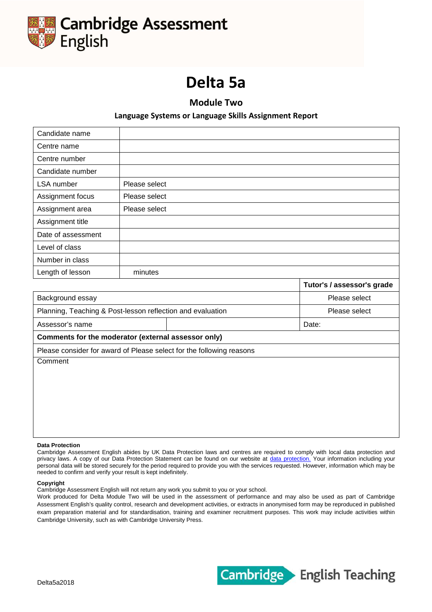

# **Delta 5a**

**Module Two**

# **Language Systems or Language Skills Assignment Report**

| Candidate name                                             |               |                                                                      |                            |  |  |  |
|------------------------------------------------------------|---------------|----------------------------------------------------------------------|----------------------------|--|--|--|
| Centre name                                                |               |                                                                      |                            |  |  |  |
| Centre number                                              |               |                                                                      |                            |  |  |  |
| Candidate number                                           |               |                                                                      |                            |  |  |  |
| <b>LSA</b> number                                          | Please select |                                                                      |                            |  |  |  |
| Assignment focus                                           | Please select |                                                                      |                            |  |  |  |
| Assignment area                                            | Please select |                                                                      |                            |  |  |  |
| Assignment title                                           |               |                                                                      |                            |  |  |  |
| Date of assessment                                         |               |                                                                      |                            |  |  |  |
| Level of class                                             |               |                                                                      |                            |  |  |  |
| Number in class                                            |               |                                                                      |                            |  |  |  |
| Length of lesson                                           | minutes       |                                                                      |                            |  |  |  |
|                                                            |               |                                                                      | Tutor's / assessor's grade |  |  |  |
| Background essay                                           |               |                                                                      | Please select              |  |  |  |
| Planning, Teaching & Post-lesson reflection and evaluation |               |                                                                      | Please select              |  |  |  |
| Assessor's name                                            |               |                                                                      | Date:                      |  |  |  |
| Comments for the moderator (external assessor only)        |               |                                                                      |                            |  |  |  |
|                                                            |               | Please consider for award of Please select for the following reasons |                            |  |  |  |
| Comment                                                    |               |                                                                      |                            |  |  |  |
|                                                            |               |                                                                      |                            |  |  |  |
|                                                            |               |                                                                      |                            |  |  |  |
|                                                            |               |                                                                      |                            |  |  |  |
|                                                            |               |                                                                      |                            |  |  |  |
|                                                            |               |                                                                      |                            |  |  |  |
|                                                            |               |                                                                      |                            |  |  |  |

#### **Data Protection**

Cambridge Assessment English abides by UK Data Protection laws and centres are required to comply with local data protection and privacy laws. A copy of our Data Protection Statement can be found on our website at data protection. Your information including your personal data will be stored securely for the period required to provide you with the services requested. However, information which may be needed to confirm and verify your result is kept indefinitely.

#### **Copyright**

Cambridge Assessment English will not return any work you submit to you or your school.

Work produced for Delta Module Two will be used in the assessment of performance and may also be used as part of Cambridge Assessment English's quality control, research and development activities, or extracts in anonymised form may be reproduced in published exam preparation material and for standardisation, training and examiner recruitment purposes. This work may include activities within Cambridge University, such as with Cambridge University Press.

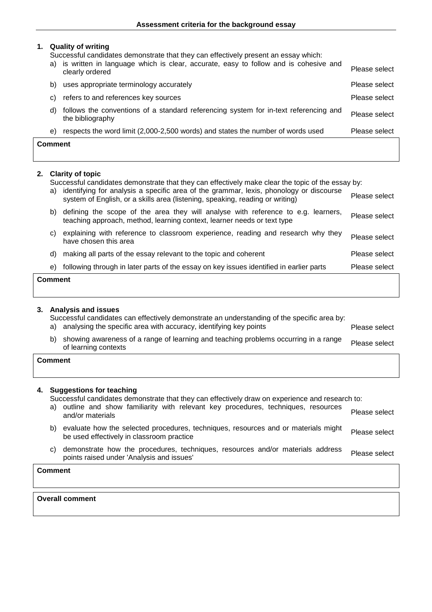### **1. Quality of writing**

Successful candidates demonstrate that they can effectively present an essay which:

| <b>Comment</b> |    |                                                                                                          |               |
|----------------|----|----------------------------------------------------------------------------------------------------------|---------------|
| e)             |    | respects the word limit (2,000-2,500 words) and states the number of words used                          | Please select |
| d)             |    | follows the conventions of a standard referencing system for in-text referencing and<br>the bibliography | Please select |
| C)             |    | refers to and references key sources                                                                     | Please select |
| b)             |    | uses appropriate terminology accurately                                                                  | Please select |
|                | a) | is written in language which is clear, accurate, easy to follow and is cohesive and<br>clearly ordered   | Please select |

## **2. Clarity of topic**

Successful candidates demonstrate that they can effectively make clear the topic of the essay by:

| <b>Comment</b> |                                                                                                                                                                         |               |
|----------------|-------------------------------------------------------------------------------------------------------------------------------------------------------------------------|---------------|
| e)             | following through in later parts of the essay on key issues identified in earlier parts                                                                                 | Please select |
| d)             | making all parts of the essay relevant to the topic and coherent                                                                                                        | Please select |
| C)             | explaining with reference to classroom experience, reading and research why they<br>have chosen this area                                                               | Please select |
| b)             | defining the scope of the area they will analyse with reference to e.g. learners,<br>teaching approach, method, learning context, learner needs or text type            | Please select |
| a)             | identifying for analysis a specific area of the grammar, lexis, phonology or discourse<br>system of English, or a skills area (listening, speaking, reading or writing) | Please select |

### **3. Analysis and issues**

Successful candidates can effectively demonstrate an understanding of the specific area by: a) analysing the specific area with accuracy, identifying key points Please select

b) showing awareness of a range of learning and teaching problems occurring in a range Please select of learning contexts

**Comment**

# **4. Suggestions for teaching**

Successful candidates demonstrate that they can effectively draw on experience and research to:

- a) outline and show familiarity with relevant key procedures, techniques, resources and/or materials Please select
- b) evaluate how the selected procedures, techniques, resources and or materials might evaluate now the selected procedures, techniques, resources and or materials might Please select<br>be used effectively in classroom practice
- c) demonstrate how the procedures, techniques, resources and/or materials address demonstrate now the procedures, techniques, resources and/or materials address Please select points raised under Analysis and issues'

# **Comment**

**Overall comment**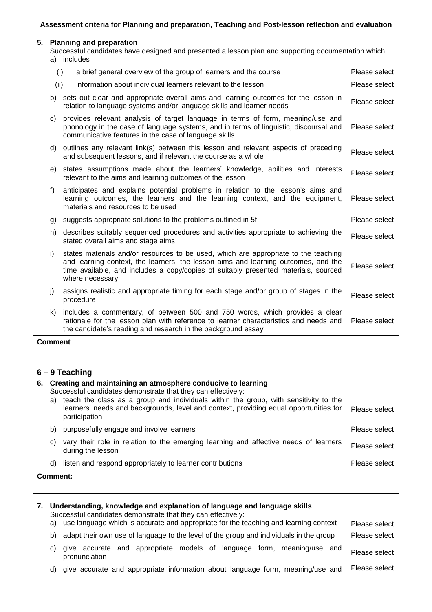#### **5. Planning and preparation**

Successful candidates have designed and presented a lesson plan and supporting documentation which: a) includes

|                | (i)<br>a brief general overview of the group of learners and the course                                                                                                                                                                                                             | Please select |
|----------------|-------------------------------------------------------------------------------------------------------------------------------------------------------------------------------------------------------------------------------------------------------------------------------------|---------------|
|                | (ii)<br>information about individual learners relevant to the lesson                                                                                                                                                                                                                | Please select |
|                | b) sets out clear and appropriate overall aims and learning outcomes for the lesson in<br>relation to language systems and/or language skills and learner needs                                                                                                                     | Please select |
| C)             | provides relevant analysis of target language in terms of form, meaning/use and<br>phonology in the case of language systems, and in terms of linguistic, discoursal and<br>communicative features in the case of language skills                                                   | Please select |
| d)             | outlines any relevant link(s) between this lesson and relevant aspects of preceding<br>and subsequent lessons, and if relevant the course as a whole                                                                                                                                | Please select |
| e)             | states assumptions made about the learners' knowledge, abilities and interests<br>relevant to the aims and learning outcomes of the lesson                                                                                                                                          | Please select |
| f              | anticipates and explains potential problems in relation to the lesson's aims and<br>learning outcomes, the learners and the learning context, and the equipment,<br>materials and resources to be used                                                                              | Please select |
|                | g) suggests appropriate solutions to the problems outlined in 5f                                                                                                                                                                                                                    | Please select |
| h)             | describes suitably sequenced procedures and activities appropriate to achieving the<br>stated overall aims and stage aims                                                                                                                                                           | Please select |
| i)             | states materials and/or resources to be used, which are appropriate to the teaching<br>and learning context, the learners, the lesson aims and learning outcomes, and the<br>time available, and includes a copy/copies of suitably presented materials, sourced<br>where necessary | Please select |
| j)             | assigns realistic and appropriate timing for each stage and/or group of stages in the<br>procedure                                                                                                                                                                                  | Please select |
| k)             | includes a commentary, of between 500 and 750 words, which provides a clear<br>rationale for the lesson plan with reference to learner characteristics and needs and<br>the candidate's reading and research in the background essay                                                | Please select |
| <b>Comment</b> |                                                                                                                                                                                                                                                                                     |               |

# **6 – 9 Teaching**

| a) | 6. Creating and maintaining an atmosphere conducive to learning<br>Successful candidates demonstrate that they can effectively:<br>teach the class as a group and individuals within the group, with sensitivity to the<br>learners' needs and backgrounds, level and context, providing equal opportunities for<br>participation | Please select |
|----|-----------------------------------------------------------------------------------------------------------------------------------------------------------------------------------------------------------------------------------------------------------------------------------------------------------------------------------|---------------|
| b) | purposefully engage and involve learners                                                                                                                                                                                                                                                                                          | Please select |
| C) | vary their role in relation to the emerging learning and affective needs of learners<br>during the lesson                                                                                                                                                                                                                         | Please select |
| d) | listen and respond appropriately to learner contributions                                                                                                                                                                                                                                                                         | Please select |
|    | Comment:                                                                                                                                                                                                                                                                                                                          |               |

| a) |               | Understanding, knowledge and explanation of language and language skills<br>Successful candidates demonstrate that they can effectively: |  |  | use language which is accurate and appropriate for the teaching and learning context   | Please select |
|----|---------------|------------------------------------------------------------------------------------------------------------------------------------------|--|--|----------------------------------------------------------------------------------------|---------------|
| b) |               |                                                                                                                                          |  |  | adapt their own use of language to the level of the group and individuals in the group | Please select |
| C) | pronunciation |                                                                                                                                          |  |  | give accurate and appropriate models of language form, meaning/use and                 | Please select |

d) give accurate and appropriate information about language form, meaning/use and Please select